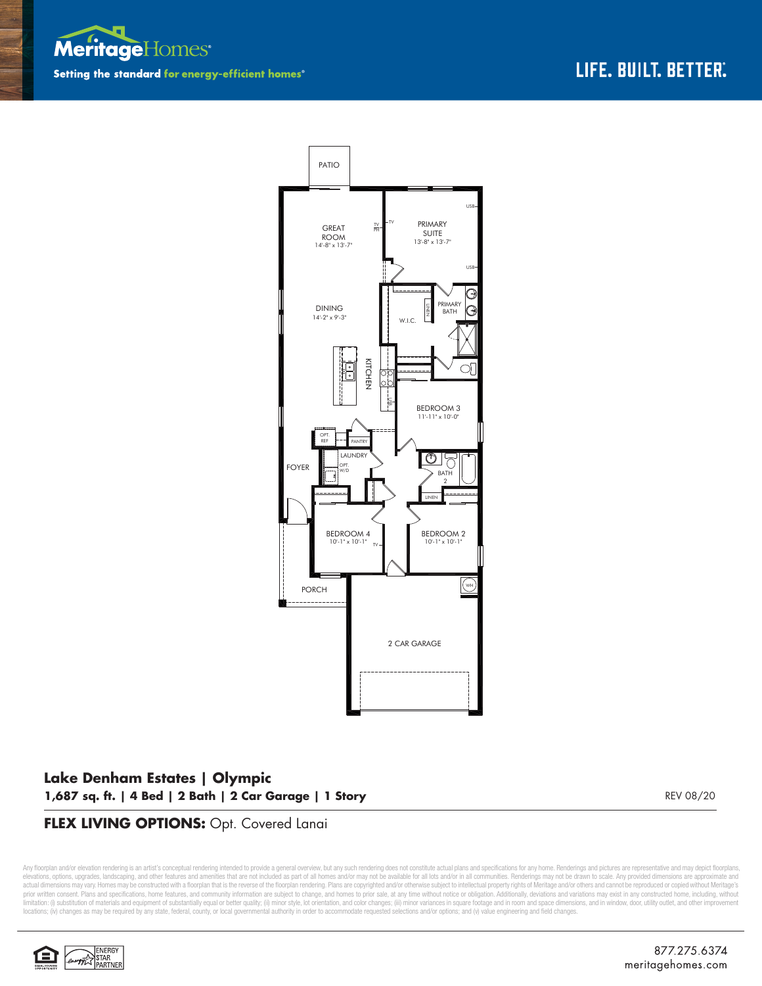



## **Lake Denham Estates | Olympic 1,687 sq. ft. | 4 Bed | 2 Bath | 2 Car Garage | 1 Story**

REV 08/20

## **FLEX LIVING OPTIONS:** Opt. Covered Lanai

Any floorplan and/or elevation rendering is an artist's conceptual rendering intended to provide a general overview, but any such rendering does not constitute actual plans and specifications for any home. Renderings and p elevations, options, upgrades, landscaping, and other features and amenities that are not included as part of all homes and/or may not be available for all lots and/or in all communities. Renderings may not be drawn to sca limitation: (i) substitution of materials and equipment of substantially equal or better quality; (ii) minor style, lot orientation, and color changes; (iii) minor variances in square footage and in room and space dimensio locations; (iv) changes as may be required by any state, federal, county, or local governmental authority in order to accommodate requested selections and/or options; and (v) value engineering and field changes.